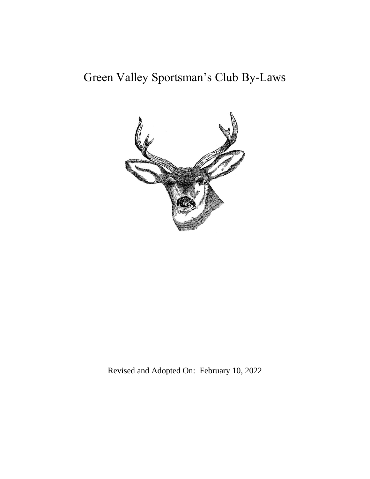# Green Valley Sportsman's Club By-Laws



Revised and Adopted On: February 10, 2022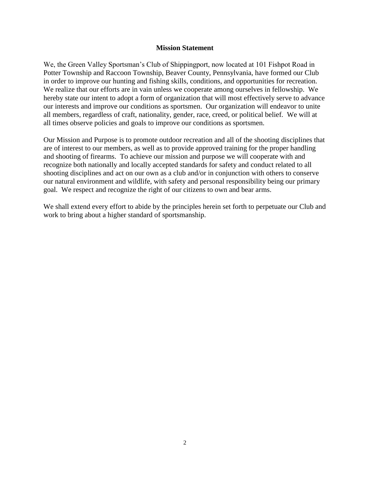#### **Mission Statement**

<span id="page-1-0"></span>We, the Green Valley Sportsman's Club of Shippingport, now located at 101 Fishpot Road in Potter Township and Raccoon Township, Beaver County, Pennsylvania, have formed our Club in order to improve our hunting and fishing skills, conditions, and opportunities for recreation. We realize that our efforts are in vain unless we cooperate among ourselves in fellowship. We hereby state our intent to adopt a form of organization that will most effectively serve to advance our interests and improve our conditions as sportsmen. Our organization will endeavor to unite all members, regardless of craft, nationality, gender, race, creed, or political belief. We will at all times observe policies and goals to improve our conditions as sportsmen.

Our Mission and Purpose is to promote outdoor recreation and all of the shooting disciplines that are of interest to our members, as well as to provide approved training for the proper handling and shooting of firearms. To achieve our mission and purpose we will cooperate with and recognize both nationally and locally accepted standards for safety and conduct related to all shooting disciplines and act on our own as a club and/or in conjunction with others to conserve our natural environment and wildlife, with safety and personal responsibility being our primary goal. We respect and recognize the right of our citizens to own and bear arms.

We shall extend every effort to abide by the principles herein set forth to perpetuate our Club and work to bring about a higher standard of sportsmanship.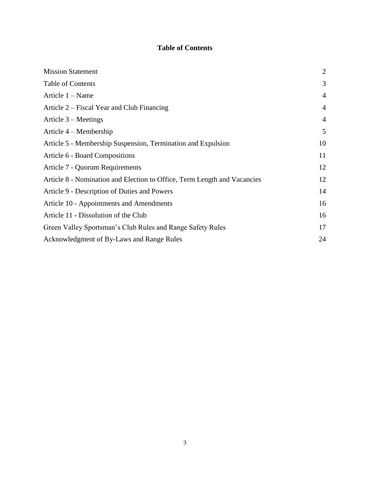# **Table of Contents**

<span id="page-2-0"></span>

| <b>Mission Statement</b>                                                 |                |
|--------------------------------------------------------------------------|----------------|
| Table of Contents                                                        | 3              |
| Article 1 – Name                                                         | $\overline{4}$ |
| Article 2 – Fiscal Year and Club Financing                               | $\overline{4}$ |
| Article 3 – Meetings                                                     | $\overline{4}$ |
| Article $4 -$ Membership                                                 | 5              |
| Article 5 - Membership Suspension, Termination and Expulsion             | 10             |
| Article 6 - Board Compositions                                           |                |
| Article 7 - Quorum Requirements                                          | 12             |
| Article 8 - Nomination and Election to Office, Term Length and Vacancies |                |
| Article 9 - Description of Duties and Powers                             |                |
| Article 10 - Appointments and Amendments                                 |                |
| Article 11 - Dissolution of the Club                                     | 16             |
| Green Valley Sportsman's Club Rules and Range Safety Rules               | 17             |
| Acknowledgment of By-Laws and Range Rules                                | 24             |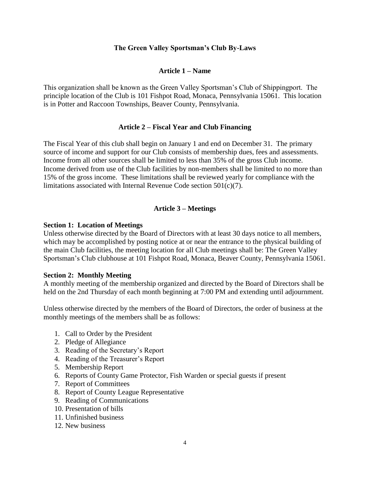## **The Green Valley Sportsman's Club By-Laws**

## **Article 1 – Name**

<span id="page-3-0"></span>This organization shall be known as the Green Valley Sportsman's Club of Shippingport. The principle location of the Club is 101 Fishpot Road, Monaca, Pennsylvania 15061. This location is in Potter and Raccoon Townships, Beaver County, Pennsylvania.

## **Article 2 – Fiscal Year and Club Financing**

<span id="page-3-1"></span>The Fiscal Year of this club shall begin on January 1 and end on December 31. The primary source of income and support for our Club consists of membership dues, fees and assessments. Income from all other sources shall be limited to less than 35% of the gross Club income. Income derived from use of the Club facilities by non-members shall be limited to no more than 15% of the gross income. These limitations shall be reviewed yearly for compliance with the limitations associated with Internal Revenue Code section 501(c)(7).

## **Article 3 – Meetings**

#### <span id="page-3-2"></span>**Section 1: Location of Meetings**

Unless otherwise directed by the Board of Directors with at least 30 days notice to all members, which may be accomplished by posting notice at or near the entrance to the physical building of the main Club facilities, the meeting location for all Club meetings shall be: The Green Valley Sportsman's Club clubhouse at 101 Fishpot Road, Monaca, Beaver County, Pennsylvania 15061.

## **Section 2: Monthly Meeting**

A monthly meeting of the membership organized and directed by the Board of Directors shall be held on the 2nd Thursday of each month beginning at 7:00 PM and extending until adjournment.

Unless otherwise directed by the members of the Board of Directors, the order of business at the monthly meetings of the members shall be as follows:

- 1. Call to Order by the President
- 2. Pledge of Allegiance
- 3. Reading of the Secretary's Report
- 4. Reading of the Treasurer's Report
- 5. Membership Report
- 6. Reports of County Game Protector, Fish Warden or special guests if present
- 7. Report of Committees
- 8. Report of County League Representative
- 9. Reading of Communications
- 10. Presentation of bills
- 11. Unfinished business
- 12. New business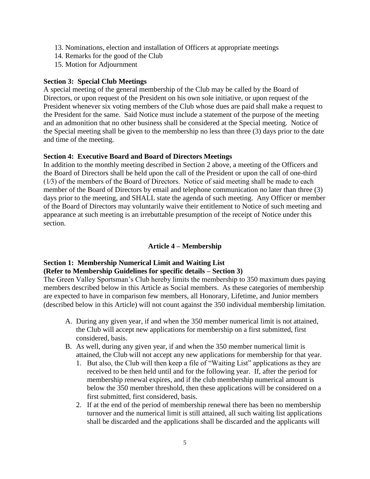- 13. Nominations, election and installation of Officers at appropriate meetings
- 14. Remarks for the good of the Club
- 15. Motion for Adjournment

## **Section 3: Special Club Meetings**

A special meeting of the general membership of the Club may be called by the Board of Directors, or upon request of the President on his own sole initiative, or upon request of the President whenever six voting members of the Club whose dues are paid shall make a request to the President for the same. Said Notice must include a statement of the purpose of the meeting and an admonition that no other business shall be considered at the Special meeting. Notice of the Special meeting shall be given to the membership no less than three (3) days prior to the date and time of the meeting.

## **Section 4: Executive Board and Board of Directors Meetings**

In addition to the monthly meeting described in Section 2 above, a meeting of the Officers and the Board of Directors shall be held upon the call of the President or upon the call of one-third (1⁄3) of the members of the Board of Directors. Notice of said meeting shall be made to each member of the Board of Directors by email and telephone communication no later than three (3) days prior to the meeting, and SHALL state the agenda of such meeting. Any Officer or member of the Board of Directors may voluntarily waive their entitlement to Notice of such meeting and appearance at such meeting is an irrebuttable presumption of the receipt of Notice under this section.

# **Article 4 – Membership**

# <span id="page-4-0"></span>**Section 1: Membership Numerical Limit and Waiting List (Refer to Membership Guidelines for specific details – Section 3)**

The Green Valley Sportsman's Club hereby limits the membership to 350 maximum dues paying members described below in this Article as Social members. As these categories of membership are expected to have in comparison few members, all Honorary, Lifetime, and Junior members (described below in this Article) will not count against the 350 individual membership limitation.

- A. During any given year, if and when the 350 member numerical limit is not attained, the Club will accept new applications for membership on a first submitted, first considered, basis.
- B. As well, during any given year, if and when the 350 member numerical limit is attained, the Club will not accept any new applications for membership for that year.
	- 1. But also, the Club will then keep a file of "Waiting List" applications as they are received to be then held until and for the following year. If, after the period for membership renewal expires, and if the club membership numerical amount is below the 350 member threshold, then these applications will be considered on a first submitted, first considered, basis.
	- 2. If at the end of the period of membership renewal there has been no membership turnover and the numerical limit is still attained, all such waiting list applications shall be discarded and the applications shall be discarded and the applicants will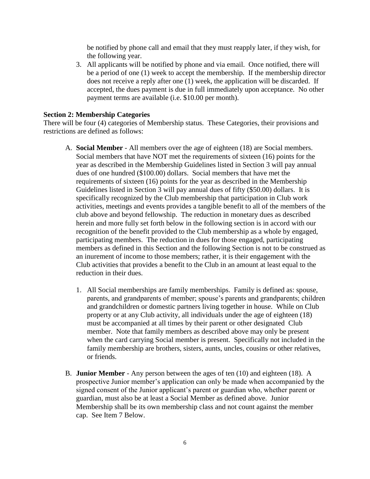be notified by phone call and email that they must reapply later, if they wish, for the following year.

3. All applicants will be notified by phone and via email. Once notified, there will be a period of one (1) week to accept the membership. If the membership director does not receive a reply after one (1) week, the application will be discarded. If accepted, the dues payment is due in full immediately upon acceptance. No other payment terms are available (i.e. \$10.00 per month).

#### **Section 2: Membership Categories**

There will be four (4) categories of Membership status. These Categories, their provisions and restrictions are defined as follows:

- A. **Social Member** All members over the age of eighteen (18) are Social members. Social members that have NOT met the requirements of sixteen (16) points for the year as described in the Membership Guidelines listed in Section 3 will pay annual dues of one hundred (\$100.00) dollars. Social members that have met the requirements of sixteen (16) points for the year as described in the Membership Guidelines listed in Section 3 will pay annual dues of fifty (\$50.00) dollars. It is specifically recognized by the Club membership that participation in Club work activities, meetings and events provides a tangible benefit to all of the members of the club above and beyond fellowship. The reduction in monetary dues as described herein and more fully set forth below in the following section is in accord with our recognition of the benefit provided to the Club membership as a whole by engaged, participating members. The reduction in dues for those engaged, participating members as defined in this Section and the following Section is not to be construed as an inurement of income to those members; rather, it is their engagement with the Club activities that provides a benefit to the Club in an amount at least equal to the reduction in their dues.
	- 1. All Social memberships are family memberships. Family is defined as: spouse, parents, and grandparents of member; spouse's parents and grandparents; children and grandchildren or domestic partners living together in house. While on Club property or at any Club activity, all individuals under the age of eighteen (18) must be accompanied at all times by their parent or other designated Club member. Note that family members as described above may only be present when the card carrying Social member is present. Specifically not included in the family membership are brothers, sisters, aunts, uncles, cousins or other relatives, or friends.
- B. **Junior Member** Any person between the ages of ten (10) and eighteen (18). A prospective Junior member's application can only be made when accompanied by the signed consent of the Junior applicant's parent or guardian who, whether parent or guardian, must also be at least a Social Member as defined above. Junior Membership shall be its own membership class and not count against the member cap. See Item 7 Below.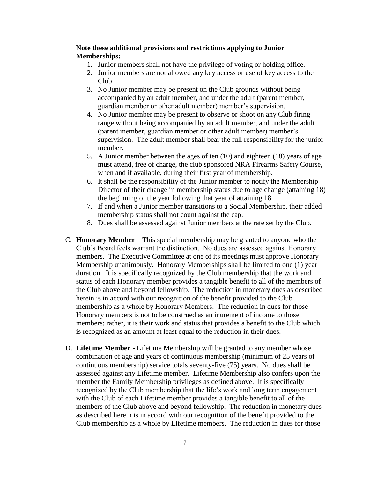## **Note these additional provisions and restrictions applying to Junior Memberships:**

- 1. Junior members shall not have the privilege of voting or holding office.
- 2. Junior members are not allowed any key access or use of key access to the Club.
- 3. No Junior member may be present on the Club grounds without being accompanied by an adult member, and under the adult (parent member, guardian member or other adult member) member's supervision.
- 4. No Junior member may be present to observe or shoot on any Club firing range without being accompanied by an adult member, and under the adult (parent member, guardian member or other adult member) member's supervision. The adult member shall bear the full responsibility for the junior member.
- 5. A Junior member between the ages of ten (10) and eighteen (18) years of age must attend, free of charge, the club sponsored NRA Firearms Safety Course, when and if available, during their first year of membership.
- 6. It shall be the responsibility of the Junior member to notify the Membership Director of their change in membership status due to age change (attaining 18) the beginning of the year following that year of attaining 18.
- 7. If and when a Junior member transitions to a Social Membership, their added membership status shall not count against the cap.
- 8. Dues shall be assessed against Junior members at the rate set by the Club.
- C. **Honorary Member** This special membership may be granted to anyone who the Club's Board feels warrant the distinction. No dues are assessed against Honorary members. The Executive Committee at one of its meetings must approve Honorary Membership unanimously. Honorary Memberships shall be limited to one (1) year duration. It is specifically recognized by the Club membership that the work and status of each Honorary member provides a tangible benefit to all of the members of the Club above and beyond fellowship. The reduction in monetary dues as described herein is in accord with our recognition of the benefit provided to the Club membership as a whole by Honorary Members. The reduction in dues for those Honorary members is not to be construed as an inurement of income to those members; rather, it is their work and status that provides a benefit to the Club which is recognized as an amount at least equal to the reduction in their dues.
- D. **Lifetime Member** Lifetime Membership will be granted to any member whose combination of age and years of continuous membership (minimum of 25 years of continuous membership) service totals seventy-five (75) years. No dues shall be assessed against any Lifetime member. Lifetime Membership also confers upon the member the Family Membership privileges as defined above. It is specifically recognized by the Club membership that the life's work and long term engagement with the Club of each Lifetime member provides a tangible benefit to all of the members of the Club above and beyond fellowship. The reduction in monetary dues as described herein is in accord with our recognition of the benefit provided to the Club membership as a whole by Lifetime members. The reduction in dues for those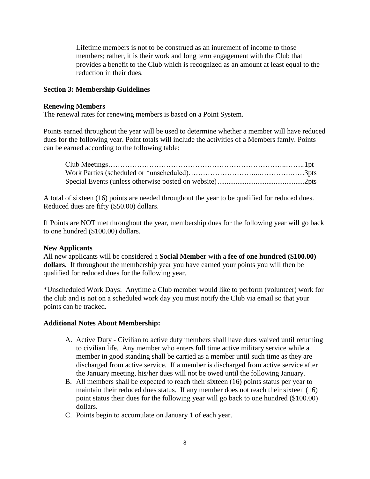Lifetime members is not to be construed as an inurement of income to those members; rather, it is their work and long term engagement with the Club that provides a benefit to the Club which is recognized as an amount at least equal to the reduction in their dues.

## **Section 3: Membership Guidelines**

#### **Renewing Members**

The renewal rates for renewing members is based on a Point System.

Points earned throughout the year will be used to determine whether a member will have reduced dues for the following year. Point totals will include the activities of a Members famly. Points can be earned according to the following table:

A total of sixteen (16) points are needed throughout the year to be qualified for reduced dues. Reduced dues are fifty (\$50.00) dollars.

If Points are NOT met throughout the year, membership dues for the following year will go back to one hundred (\$100.00) dollars.

## **New Applicants**

All new applicants will be considered a **Social Member** with a **fee of one hundred (\$100.00) dollars.** If throughout the membership year you have earned your points you will then be qualified for reduced dues for the following year.

\*Unscheduled Work Days: Anytime a Club member would like to perform (volunteer) work for the club and is not on a scheduled work day you must notify the Club via email so that your points can be tracked.

## **Additional Notes About Membership:**

- A. Active Duty Civilian to active duty members shall have dues waived until returning to civilian life. Any member who enters full time active military service while a member in good standing shall be carried as a member until such time as they are discharged from active service. If a member is discharged from active service after the January meeting, his/her dues will not be owed until the following January.
- B. All members shall be expected to reach their sixteen (16) points status per year to maintain their reduced dues status. If any member does not reach their sixteen (16) point status their dues for the following year will go back to one hundred (\$100.00) dollars.
- C. Points begin to accumulate on January 1 of each year.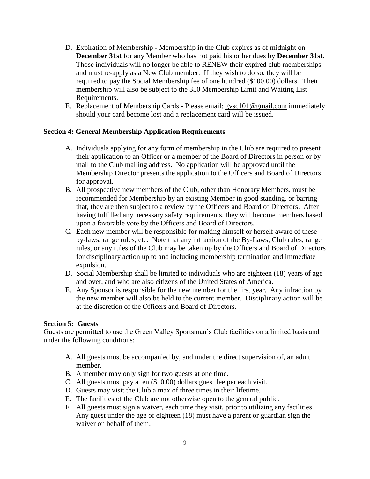- D. Expiration of Membership Membership in the Club expires as of midnight on **December 31st** for any Member who has not paid his or her dues by **December 31st**. Those individuals will no longer be able to RENEW their expired club memberships and must re-apply as a New Club member. If they wish to do so, they will be required to pay the Social Membership fee of one hundred (\$100.00) dollars. Their membership will also be subject to the 350 Membership Limit and Waiting List Requirements.
- E. Replacement of Membership Cards Please email: [gvsc101@gmail.com](mailto:gvsc101@gmail.com) immediately should your card become lost and a replacement card will be issued.

## **Section 4: General Membership Application Requirements**

- A. Individuals applying for any form of membership in the Club are required to present their application to an Officer or a member of the Board of Directors in person or by mail to the Club mailing address. No application will be approved until the Membership Director presents the application to the Officers and Board of Directors for approval.
- B. All prospective new members of the Club, other than Honorary Members, must be recommended for Membership by an existing Member in good standing, or barring that, they are then subject to a review by the Officers and Board of Directors. After having fulfilled any necessary safety requirements, they will become members based upon a favorable vote by the Officers and Board of Directors.
- C. Each new member will be responsible for making himself or herself aware of these by-laws, range rules, etc. Note that any infraction of the By-Laws, Club rules, range rules, or any rules of the Club may be taken up by the Officers and Board of Directors for disciplinary action up to and including membership termination and immediate expulsion.
- D. Social Membership shall be limited to individuals who are eighteen (18) years of age and over, and who are also citizens of the United States of America.
- E. Any Sponsor is responsible for the new member for the first year. Any infraction by the new member will also be held to the current member. Disciplinary action will be at the discretion of the Officers and Board of Directors.

## **Section 5: Guests**

Guests are permitted to use the Green Valley Sportsman's Club facilities on a limited basis and under the following conditions:

- A. All guests must be accompanied by, and under the direct supervision of, an adult member.
- B. A member may only sign for two guests at one time.
- C. All guests must pay a ten (\$10.00) dollars guest fee per each visit.
- D. Guests may visit the Club a max of three times in their lifetime.
- E. The facilities of the Club are not otherwise open to the general public.
- F. All guests must sign a waiver, each time they visit, prior to utilizing any facilities. Any guest under the age of eighteen (18) must have a parent or guardian sign the waiver on behalf of them.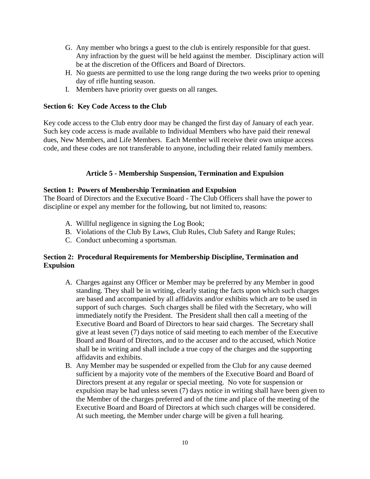- G. Any member who brings a guest to the club is entirely responsible for that guest. Any infraction by the guest will be held against the member. Disciplinary action will be at the discretion of the Officers and Board of Directors.
- H. No guests are permitted to use the long range during the two weeks prior to opening day of rifle hunting season.
- I. Members have priority over guests on all ranges.

## **Section 6: Key Code Access to the Club**

Key code access to the Club entry door may be changed the first day of January of each year. Such key code access is made available to Individual Members who have paid their renewal dues, New Members, and Life Members. Each Member will receive their own unique access code, and these codes are not transferable to anyone, including their related family members.

## **Article 5 - Membership Suspension, Termination and Expulsion**

## <span id="page-9-0"></span>**Section 1: Powers of Membership Termination and Expulsion**

The Board of Directors and the Executive Board - The Club Officers shall have the power to discipline or expel any member for the following, but not limited to, reasons:

- A. Willful negligence in signing the Log Book;
- B. Violations of the Club By Laws, Club Rules, Club Safety and Range Rules;
- C. Conduct unbecoming a sportsman.

## **Section 2: Procedural Requirements for Membership Discipline, Termination and Expulsion**

- A. Charges against any Officer or Member may be preferred by any Member in good standing. They shall be in writing, clearly stating the facts upon which such charges are based and accompanied by all affidavits and/or exhibits which are to be used in support of such charges. Such charges shall be filed with the Secretary, who will immediately notify the President. The President shall then call a meeting of the Executive Board and Board of Directors to hear said charges. The Secretary shall give at least seven (7) days notice of said meeting to each member of the Executive Board and Board of Directors, and to the accuser and to the accused, which Notice shall be in writing and shall include a true copy of the charges and the supporting affidavits and exhibits.
- B. Any Member may be suspended or expelled from the Club for any cause deemed sufficient by a majority vote of the members of the Executive Board and Board of Directors present at any regular or special meeting. No vote for suspension or expulsion may be had unless seven (7) days notice in writing shall have been given to the Member of the charges preferred and of the time and place of the meeting of the Executive Board and Board of Directors at which such charges will be considered. At such meeting, the Member under charge will be given a full hearing.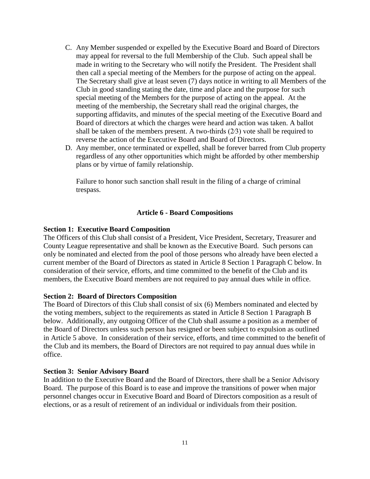- C. Any Member suspended or expelled by the Executive Board and Board of Directors may appeal for reversal to the full Membership of the Club. Such appeal shall be made in writing to the Secretary who will notify the President. The President shall then call a special meeting of the Members for the purpose of acting on the appeal. The Secretary shall give at least seven (7) days notice in writing to all Members of the Club in good standing stating the date, time and place and the purpose for such special meeting of the Members for the purpose of acting on the appeal. At the meeting of the membership, the Secretary shall read the original charges, the supporting affidavits, and minutes of the special meeting of the Executive Board and Board of directors at which the charges were heard and action was taken. A ballot shall be taken of the members present. A two-thirds  $(2/3)$  vote shall be required to reverse the action of the Executive Board and Board of Directors.
- D. Any member, once terminated or expelled, shall be forever barred from Club property regardless of any other opportunities which might be afforded by other membership plans or by virtue of family relationship.

Failure to honor such sanction shall result in the filing of a charge of criminal trespass.

## **Article 6 - Board Compositions**

#### <span id="page-10-0"></span>**Section 1: Executive Board Composition**

The Officers of this Club shall consist of a President, Vice President, Secretary, Treasurer and County League representative and shall be known as the Executive Board. Such persons can only be nominated and elected from the pool of those persons who already have been elected a current member of the Board of Directors as stated in Article 8 Section 1 Paragraph C below. In consideration of their service, efforts, and time committed to the benefit of the Club and its members, the Executive Board members are not required to pay annual dues while in office.

#### **Section 2: Board of Directors Composition**

The Board of Directors of this Club shall consist of six (6) Members nominated and elected by the voting members, subject to the requirements as stated in Article 8 Section 1 Paragraph B below. Additionally, any outgoing Officer of the Club shall assume a position as a member of the Board of Directors unless such person has resigned or been subject to expulsion as outlined in Article 5 above. In consideration of their service, efforts, and time committed to the benefit of the Club and its members, the Board of Directors are not required to pay annual dues while in office.

#### **Section 3: Senior Advisory Board**

In addition to the Executive Board and the Board of Directors, there shall be a Senior Advisory Board. The purpose of this Board is to ease and improve the transitions of power when major personnel changes occur in Executive Board and Board of Directors composition as a result of elections, or as a result of retirement of an individual or individuals from their position.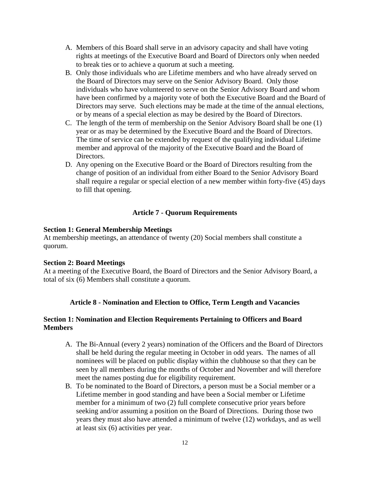- A. Members of this Board shall serve in an advisory capacity and shall have voting rights at meetings of the Executive Board and Board of Directors only when needed to break ties or to achieve a quorum at such a meeting.
- B. Only those individuals who are Lifetime members and who have already served on the Board of Directors may serve on the Senior Advisory Board. Only those individuals who have volunteered to serve on the Senior Advisory Board and whom have been confirmed by a majority vote of both the Executive Board and the Board of Directors may serve. Such elections may be made at the time of the annual elections, or by means of a special election as may be desired by the Board of Directors.
- C. The length of the term of membership on the Senior Advisory Board shall be one (1) year or as may be determined by the Executive Board and the Board of Directors. The time of service can be extended by request of the qualifying individual Lifetime member and approval of the majority of the Executive Board and the Board of Directors.
- D. Any opening on the Executive Board or the Board of Directors resulting from the change of position of an individual from either Board to the Senior Advisory Board shall require a regular or special election of a new member within forty-five (45) days to fill that opening.

## **Article 7 - Quorum Requirements**

#### <span id="page-11-0"></span>**Section 1: General Membership Meetings**

At membership meetings, an attendance of twenty (20) Social members shall constitute a quorum.

#### **Section 2: Board Meetings**

At a meeting of the Executive Board, the Board of Directors and the Senior Advisory Board, a total of six (6) Members shall constitute a quorum.

## **Article 8 - Nomination and Election to Office, Term Length and Vacancies**

## <span id="page-11-1"></span>**Section 1: Nomination and Election Requirements Pertaining to Officers and Board Members**

- A. The Bi-Annual (every 2 years) nomination of the Officers and the Board of Directors shall be held during the regular meeting in October in odd years. The names of all nominees will be placed on public display within the clubhouse so that they can be seen by all members during the months of October and November and will therefore meet the names posting due for eligibility requirement.
- B. To be nominated to the Board of Directors, a person must be a Social member or a Lifetime member in good standing and have been a Social member or Lifetime member for a minimum of two (2) full complete consecutive prior years before seeking and/or assuming a position on the Board of Directions. During those two years they must also have attended a minimum of twelve (12) workdays, and as well at least six (6) activities per year.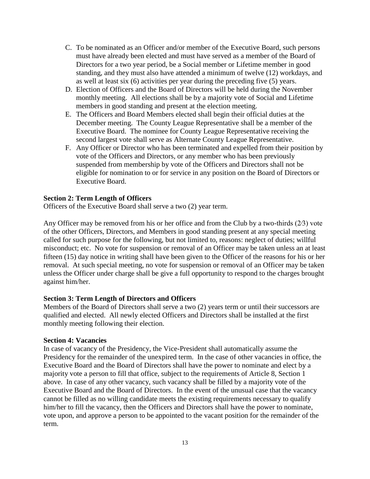- C. To be nominated as an Officer and/or member of the Executive Board, such persons must have already been elected and must have served as a member of the Board of Directors for a two year period, be a Social member or Lifetime member in good standing, and they must also have attended a minimum of twelve (12) workdays, and as well at least six (6) activities per year during the preceding five (5) years.
- D. Election of Officers and the Board of Directors will be held during the November monthly meeting. All elections shall be by a majority vote of Social and Lifetime members in good standing and present at the election meeting.
- E. The Officers and Board Members elected shall begin their official duties at the December meeting. The County League Representative shall be a member of the Executive Board. The nominee for County League Representative receiving the second largest vote shall serve as Alternate County League Representative.
- F. Any Officer or Director who has been terminated and expelled from their position by vote of the Officers and Directors, or any member who has been previously suspended from membership by vote of the Officers and Directors shall not be eligible for nomination to or for service in any position on the Board of Directors or Executive Board.

## **Section 2: Term Length of Officers**

Officers of the Executive Board shall serve a two (2) year term.

Any Officer may be removed from his or her office and from the Club by a two-thirds (2⁄3) vote of the other Officers, Directors, and Members in good standing present at any special meeting called for such purpose for the following, but not limited to, reasons: neglect of duties; willful misconduct; etc. No vote for suspension or removal of an Officer may be taken unless an at least fifteen (15) day notice in writing shall have been given to the Officer of the reasons for his or her removal. At such special meeting, no vote for suspension or removal of an Officer may be taken unless the Officer under charge shall be give a full opportunity to respond to the charges brought against him/her.

#### **Section 3: Term Length of Directors and Officers**

Members of the Board of Directors shall serve a two (2) years term or until their successors are qualified and elected. All newly elected Officers and Directors shall be installed at the first monthly meeting following their election.

#### **Section 4: Vacancies**

In case of vacancy of the Presidency, the Vice-President shall automatically assume the Presidency for the remainder of the unexpired term. In the case of other vacancies in office, the Executive Board and the Board of Directors shall have the power to nominate and elect by a majority vote a person to fill that office, subject to the requirements of Article 8, Section 1 above. In case of any other vacancy, such vacancy shall be filled by a majority vote of the Executive Board and the Board of Directors. In the event of the unusual case that the vacancy cannot be filled as no willing candidate meets the existing requirements necessary to qualify him/her to fill the vacancy, then the Officers and Directors shall have the power to nominate, vote upon, and approve a person to be appointed to the vacant position for the remainder of the term.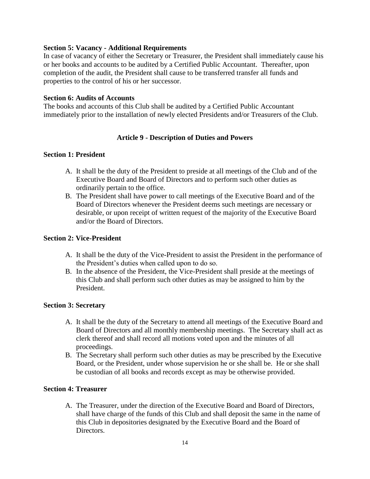#### **Section 5: Vacancy - Additional Requirements**

In case of vacancy of either the Secretary or Treasurer, the President shall immediately cause his or her books and accounts to be audited by a Certified Public Accountant. Thereafter, upon completion of the audit, the President shall cause to be transferred transfer all funds and properties to the control of his or her successor.

#### **Section 6: Audits of Accounts**

The books and accounts of this Club shall be audited by a Certified Public Accountant immediately prior to the installation of newly elected Presidents and/or Treasurers of the Club.

## **Article 9 - Description of Duties and Powers**

#### <span id="page-13-0"></span>**Section 1: President**

- A. It shall be the duty of the President to preside at all meetings of the Club and of the Executive Board and Board of Directors and to perform such other duties as ordinarily pertain to the office.
- B. The President shall have power to call meetings of the Executive Board and of the Board of Directors whenever the President deems such meetings are necessary or desirable, or upon receipt of written request of the majority of the Executive Board and/or the Board of Directors.

## **Section 2: Vice-President**

- A. It shall be the duty of the Vice-President to assist the President in the performance of the President's duties when called upon to do so.
- B. In the absence of the President, the Vice-President shall preside at the meetings of this Club and shall perform such other duties as may be assigned to him by the President.

## **Section 3: Secretary**

- A. It shall be the duty of the Secretary to attend all meetings of the Executive Board and Board of Directors and all monthly membership meetings. The Secretary shall act as clerk thereof and shall record all motions voted upon and the minutes of all proceedings.
- B. The Secretary shall perform such other duties as may be prescribed by the Executive Board, or the President, under whose supervision he or she shall be. He or she shall be custodian of all books and records except as may be otherwise provided.

## **Section 4: Treasurer**

A. The Treasurer, under the direction of the Executive Board and Board of Directors, shall have charge of the funds of this Club and shall deposit the same in the name of this Club in depositories designated by the Executive Board and the Board of Directors.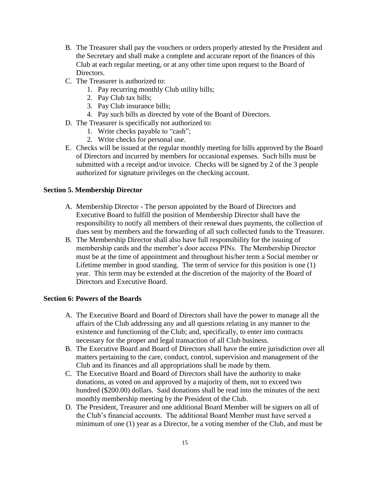- B. The Treasurer shall pay the vouchers or orders properly attested by the President and the Secretary and shall make a complete and accurate report of the finances of this Club at each regular meeting, or at any other time upon request to the Board of Directors.
- C. The Treasurer is authorized to:
	- 1. Pay recurring monthly Club utility bills;
	- 2. Pay Club tax bills;
	- 3. Pay Club insurance bills;
	- 4. Pay such bills as directed by vote of the Board of Directors.
- D. The Treasurer is specifically not authorized to:
	- 1. Write checks payable to "cash";
	- 2. Write checks for personal use.
- E. Checks will be issued at the regular monthly meeting for bills approved by the Board of Directors and incurred by members for occasional expenses. Such bills must be submitted with a receipt and/or invoice. Checks will be signed by 2 of the 3 people authorized for signature privileges on the checking account.

## **Section 5. Membership Director**

- A. Membership Director The person appointed by the Board of Directors and Executive Board to fulfill the position of Membership Director shall have the responsibility to notify all members of their renewal dues payments, the collection of dues sent by members and the forwarding of all such collected funds to the Treasurer.
- B. The Membership Director shall also have full responsibility for the issuing of membership cards and the member's door access PINs. The Membership Director must be at the time of appointment and throughout his/her term a Social member or Lifetime member in good standing. The term of service for this position is one (1) year. This term may be extended at the discretion of the majority of the Board of Directors and Executive Board.

## **Section 6: Powers of the Boards**

- A. The Executive Board and Board of Directors shall have the power to manage all the affairs of the Club addressing any and all questions relating in any manner to the existence and functioning of the Club; and, specifically, to enter into contracts necessary for the proper and legal transaction of all Club business.
- B. The Executive Board and Board of Directors shall have the entire jurisdiction over all matters pertaining to the care, conduct, control, supervision and management of the Club and its finances and all appropriations shall be made by them.
- C. The Executive Board and Board of Directors shall have the authority to make donations, as voted on and approved by a majority of them, not to exceed two hundred (\$200.00) dollars. Said donations shall be read into the minutes of the next monthly membership meeting by the President of the Club.
- D. The President, Treasurer and one additional Board Member will be signers on all of the Club's financial accounts. The additional Board Member must have served a minimum of one (1) year as a Director, be a voting member of the Club, and must be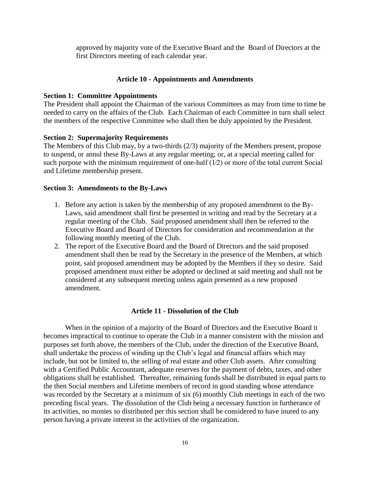approved by majority vote of the Executive Board and the Board of Directors at the first Directors meeting of each calendar year.

#### **Article 10 - Appointments and Amendments**

#### <span id="page-15-0"></span>**Section 1: Committee Appointments**

The President shall appoint the Chairman of the various Committees as may from time to time be needed to carry on the affairs of the Club. Each Chairman of each Committee in turn shall select the members of the respective Committee who shall then be duly appointed by the President.

#### **Section 2: Supermajority Requirements**

The Members of this Club may, by a two-thirds (2/3) majority of the Members present, propose to suspend, or annul these By-Laws at any regular meeting; or, at a special meeting called for such purpose with the minimum requirement of one-half  $(1/2)$  or more of the total current Social and Lifetime membership present.

#### **Section 3: Amendments to the By-Laws**

- 1. Before any action is taken by the membership of any proposed amendment to the By-Laws, said amendment shall first be presented in writing and read by the Secretary at a regular meeting of the Club. Said proposed amendment shall then be referred to the Executive Board and Board of Directors for consideration and recommendation at the following monthly meeting of the Club.
- 2. The report of the Executive Board and the Board of Directors and the said proposed amendment shall then be read by the Secretary in the presence of the Members, at which point, said proposed amendment may be adopted by the Members if they so desire. Said proposed amendment must either be adopted or declined at said meeting and shall not be considered at any subsequent meeting unless again presented as a new proposed amendment.

#### **Article 11 - Dissolution of the Club**

<span id="page-15-2"></span><span id="page-15-1"></span>When in the opinion of a majority of the Board of Directors and the Executive Board it becomes impractical to continue to operate the Club in a manner consistent with the mission and purposes set forth above, the members of the Club, under the direction of the Executive Board, shall undertake the process of winding up the Club's legal and financial affairs which may include, but not be limited to, the selling of real estate and other Club assets. After consulting with a Certified Public Accountant, adequate reserves for the payment of debts, taxes, and other obligations shall be established. Thereafter, remaining funds shall be distributed in equal parts to the then Social members and Lifetime members of record in good standing whose attendance was recorded by the Secretary at a minimum of six (6) monthly Club meetings in each of the two preceding fiscal years. The dissolution of the Club being a necessary function in furtherance of its activities, no monies so distributed per this section shall be considered to have inured to any person having a private interest in the activities of the organization.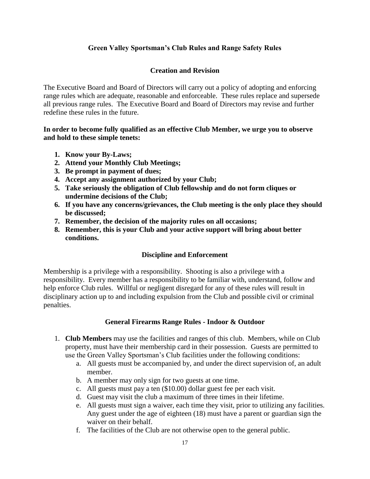# **Green Valley Sportsman's Club Rules and Range Safety Rules**

# **Creation and Revision**

The Executive Board and Board of Directors will carry out a policy of adopting and enforcing range rules which are adequate, reasonable and enforceable. These rules replace and supersede all previous range rules. The Executive Board and Board of Directors may revise and further redefine these rules in the future.

## **In order to become fully qualified as an effective Club Member, we urge you to observe and hold to these simple tenets:**

- **1. Know your By-Laws;**
- **2. Attend your Monthly Club Meetings;**
- **3. Be prompt in payment of dues;**
- **4. Accept any assignment authorized by your Club;**
- **5. Take seriously the obligation of Club fellowship and do not form cliques or undermine decisions of the Club;**
- **6. If you have any concerns/grievances, the Club meeting is the only place they should be discussed;**
- **7. Remember, the decision of the majority rules on all occasions;**
- **8. Remember, this is your Club and your active support will bring about better conditions.**

# **Discipline and Enforcement**

Membership is a privilege with a responsibility. Shooting is also a privilege with a responsibility. Every member has a responsibility to be familiar with, understand, follow and help enforce Club rules. Willful or negligent disregard for any of these rules will result in disciplinary action up to and including expulsion from the Club and possible civil or criminal penalties.

# **General Firearms Range Rules - Indoor & Outdoor**

- 1. **Club Members** may use the facilities and ranges of this club. Members, while on Club property, must have their membership card in their possession. Guests are permitted to use the Green Valley Sportsman's Club facilities under the following conditions:
	- a. All guests must be accompanied by, and under the direct supervision of, an adult member.
	- b. A member may only sign for two guests at one time.
	- c. All guests must pay a ten (\$10.00) dollar guest fee per each visit.
	- d. Guest may visit the club a maximum of three times in their lifetime.
	- e. All guests must sign a waiver, each time they visit, prior to utilizing any facilities. Any guest under the age of eighteen (18) must have a parent or guardian sign the waiver on their behalf.
	- f. The facilities of the Club are not otherwise open to the general public.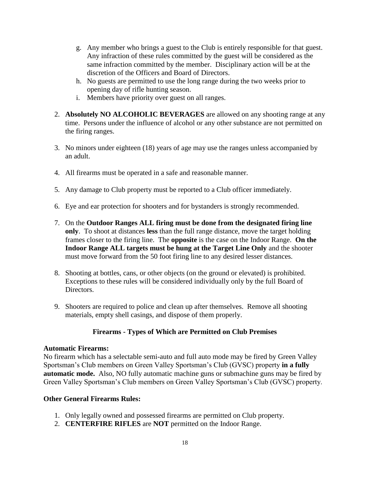- g. Any member who brings a guest to the Club is entirely responsible for that guest. Any infraction of these rules committed by the guest will be considered as the same infraction committed by the member. Disciplinary action will be at the discretion of the Officers and Board of Directors.
- h. No guests are permitted to use the long range during the two weeks prior to opening day of rifle hunting season.
- i. Members have priority over guest on all ranges.
- 2. **Absolutely NO ALCOHOLIC BEVERAGES** are allowed on any shooting range at any time. Persons under the influence of alcohol or any other substance are not permitted on the firing ranges.
- 3. No minors under eighteen (18) years of age may use the ranges unless accompanied by an adult.
- 4. All firearms must be operated in a safe and reasonable manner.
- 5. Any damage to Club property must be reported to a Club officer immediately.
- 6. Eye and ear protection for shooters and for bystanders is strongly recommended.
- 7. On the **Outdoor Ranges ALL firing must be done from the designated firing line only**. To shoot at distances **less** than the full range distance, move the target holding frames closer to the firing line. The **opposite** is the case on the Indoor Range. **On the Indoor Range ALL targets must be hung at the Target Line Only** and the shooter must move forward from the 50 foot firing line to any desired lesser distances.
- 8. Shooting at bottles, cans, or other objects (on the ground or elevated) is prohibited. Exceptions to these rules will be considered individually only by the full Board of Directors.
- 9. Shooters are required to police and clean up after themselves. Remove all shooting materials, empty shell casings, and dispose of them properly.

# **Firearms - Types of Which are Permitted on Club Premises**

## **Automatic Firearms:**

No firearm which has a selectable semi-auto and full auto mode may be fired by Green Valley Sportsman's Club members on Green Valley Sportsman's Club (GVSC) property **in a fully automatic mode.** Also, NO fully automatic machine guns or submachine guns may be fired by Green Valley Sportsman's Club members on Green Valley Sportsman's Club (GVSC) property.

## **Other General Firearms Rules:**

- 1. Only legally owned and possessed firearms are permitted on Club property.
- 2. **CENTERFIRE RIFLES** are **NOT** permitted on the Indoor Range.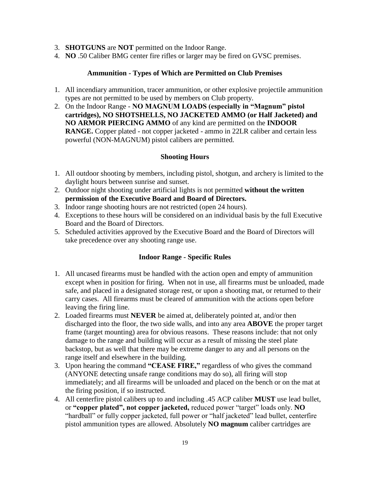- 3. **SHOTGUNS** are **NOT** permitted on the Indoor Range.
- 4. **NO** .50 Caliber BMG center fire rifles or larger may be fired on GVSC premises.

## **Ammunition - Types of Which are Permitted on Club Premises**

- 1. All incendiary ammunition, tracer ammunition, or other explosive projectile ammunition types are not permitted to be used by members on Club property.
- 2. On the Indoor Range **NO MAGNUM LOADS (especially in "Magnum" pistol cartridges), NO SHOTSHELLS, NO JACKETED AMMO (or Half Jacketed) and NO ARMOR PIERCING AMMO** of any kind are permitted on the **INDOOR RANGE.** Copper plated - not copper jacketed - ammo in 22LR caliber and certain less powerful (NON-MAGNUM) pistol calibers are permitted.

# **Shooting Hours**

- 1. All outdoor shooting by members, including pistol, shotgun, and archery is limited to the daylight hours between sunrise and sunset.
- 2. Outdoor night shooting under artificial lights is not permitted **without the written permission of the Executive Board and Board of Directors.**
- 3. Indoor range shooting hours are not restricted (open 24 hours).
- 4. Exceptions to these hours will be considered on an individual basis by the full Executive Board and the Board of Directors.
- 5. Scheduled activities approved by the Executive Board and the Board of Directors will take precedence over any shooting range use.

## **Indoor Range - Specific Rules**

- 1. All uncased firearms must be handled with the action open and empty of ammunition except when in position for firing. When not in use, all firearms must be unloaded, made safe, and placed in a designated storage rest, or upon a shooting mat, or returned to their carry cases. All firearms must be cleared of ammunition with the actions open before leaving the firing line.
- 2. Loaded firearms must **NEVER** be aimed at, deliberately pointed at, and/or then discharged into the floor, the two side walls, and into any area **ABOVE** the proper target frame (target mounting) area for obvious reasons. These reasons include: that not only damage to the range and building will occur as a result of missing the steel plate backstop, but as well that there may be extreme danger to any and all persons on the range itself and elsewhere in the building.
- 3. Upon hearing the command **"CEASE FIRE,"** regardless of who gives the command (ANYONE detecting unsafe range conditions may do so), all firing will stop immediately; and all firearms will be unloaded and placed on the bench or on the mat at the firing position, if so instructed.
- 4. All centerfire pistol calibers up to and including .45 ACP caliber **MUST** use lead bullet, or **"copper plated", not copper jacketed,** reduced power "target" loads only. **NO**  "hardball" or fully copper jacketed, full power or "half jacketed" lead bullet, centerfire pistol ammunition types are allowed. Absolutely **NO magnum** caliber cartridges are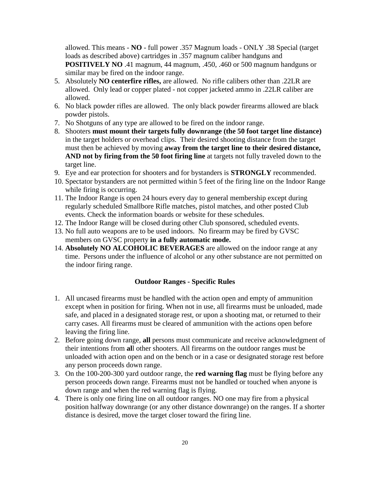allowed. This means - **NO** - full power .357 Magnum loads - ONLY .38 Special (target loads as described above) cartridges in .357 magnum caliber handguns and **POSITIVELY NO** .41 magnum, 44 magnum, .450, .460 or 500 magnum handguns or similar may be fired on the indoor range.

- 5. Absolutely **NO centerfire rifles,** are allowed. No rifle calibers other than .22LR are allowed. Only lead or copper plated - not copper jacketed ammo in .22LR caliber are allowed.
- 6. No black powder rifles are allowed. The only black powder firearms allowed are black powder pistols.
- 7. No Shotguns of any type are allowed to be fired on the indoor range.
- 8. Shooters **must mount their targets fully downrange (the 50 foot target line distance)**  in the target holders or overhead clips. Their desired shooting distance from the target must then be achieved by moving **away from the target line to their desired distance, AND not by firing from the 50 foot firing line** at targets not fully traveled down to the target line.
- 9. Eye and ear protection for shooters and for bystanders is **STRONGLY** recommended.
- 10. Spectator bystanders are not permitted within 5 feet of the firing line on the Indoor Range while firing is occurring.
- 11. The Indoor Range is open 24 hours every day to general membership except during regularly scheduled Smallbore Rifle matches, pistol matches, and other posted Club events. Check the information boards or website for these schedules.
- 12. The Indoor Range will be closed during other Club sponsored, scheduled events.
- 13. No full auto weapons are to be used indoors. No firearm may be fired by GVSC members on GVSC property **in a fully automatic mode.**
- 14. **Absolutely NO ALCOHOLIC BEVERAGES** are allowed on the indoor range at any time. Persons under the influence of alcohol or any other substance are not permitted on the indoor firing range.

#### **Outdoor Ranges - Specific Rules**

- 1. All uncased firearms must be handled with the action open and empty of ammunition except when in position for firing. When not in use, all firearms must be unloaded, made safe, and placed in a designated storage rest, or upon a shooting mat, or returned to their carry cases. All firearms must be cleared of ammunition with the actions open before leaving the firing line.
- 2. Before going down range, **all** persons must communicate and receive acknowledgment of their intentions from **al**l other shooters. All firearms on the outdoor ranges must be unloaded with action open and on the bench or in a case or designated storage rest before any person proceeds down range.
- 3. On the 100-200-300 yard outdoor range, the **red warning flag** must be flying before any person proceeds down range. Firearms must not be handled or touched when anyone is down range and when the red warning flag is flying.
- 4. There is only one firing line on all outdoor ranges. NO one may fire from a physical position halfway downrange (or any other distance downrange) on the ranges. If a shorter distance is desired, move the target closer toward the firing line.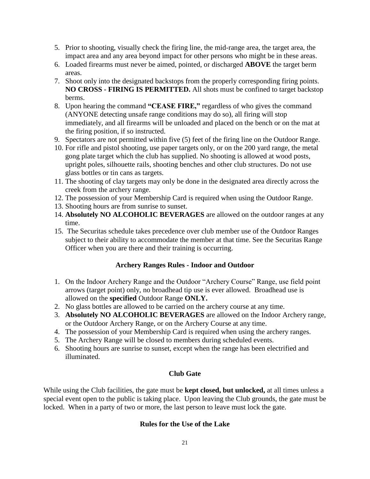- 5. Prior to shooting, visually check the firing line, the mid-range area, the target area, the impact area and any area beyond impact for other persons who might be in these areas.
- 6. Loaded firearms must never be aimed, pointed, or discharged **ABOVE** the target berm areas.
- 7. Shoot only into the designated backstops from the properly corresponding firing points. **NO CROSS - FIRING IS PERMITTED.** All shots must be confined to target backstop berms.
- 8. Upon hearing the command **"CEASE FIRE,"** regardless of who gives the command (ANYONE detecting unsafe range conditions may do so), all firing will stop immediately, and all firearms will be unloaded and placed on the bench or on the mat at the firing position, if so instructed.
- 9. Spectators are not permitted within five (5) feet of the firing line on the Outdoor Range.
- 10. For rifle and pistol shooting, use paper targets only, or on the 200 yard range, the metal gong plate target which the club has supplied. No shooting is allowed at wood posts, upright poles, silhouette rails, shooting benches and other club structures. Do not use glass bottles or tin cans as targets.
- 11. The shooting of clay targets may only be done in the designated area directly across the creek from the archery range.
- 12. The possession of your Membership Card is required when using the Outdoor Range.
- 13. Shooting hours are from sunrise to sunset.
- 14. **Absolutely NO ALCOHOLIC BEVERAGES** are allowed on the outdoor ranges at any time.
- 15. The Securitas schedule takes precedence over club member use of the Outdoor Ranges subject to their ability to accommodate the member at that time. See the Securitas Range Officer when you are there and their training is occurring.

# **Archery Ranges Rules - Indoor and Outdoor**

- 1. On the Indoor Archery Range and the Outdoor "Archery Course" Range, use field point arrows (target point) only, no broadhead tip use is ever allowed. Broadhead use is allowed on the **specified** Outdoor Range **ONLY.**
- 2. No glass bottles are allowed to be carried on the archery course at any time.
- 3. **Absolutely NO ALCOHOLIC BEVERAGES** are allowed on the Indoor Archery range, or the Outdoor Archery Range, or on the Archery Course at any time.
- 4. The possession of your Membership Card is required when using the archery ranges.
- 5. The Archery Range will be closed to members during scheduled events.
- 6. Shooting hours are sunrise to sunset, except when the range has been electrified and illuminated.

# **Club Gate**

While using the Club facilities, the gate must be **kept closed, but unlocked,** at all times unless a special event open to the public is taking place. Upon leaving the Club grounds, the gate must be locked. When in a party of two or more, the last person to leave must lock the gate.

# **Rules for the Use of the Lake**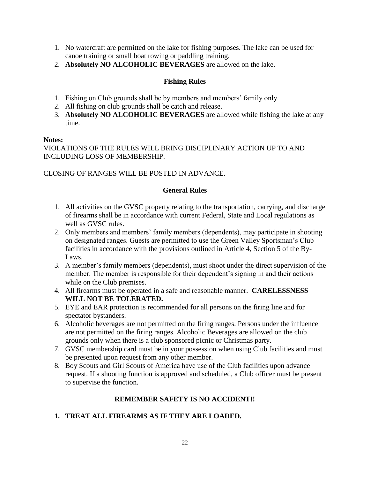- 1. No watercraft are permitted on the lake for fishing purposes. The lake can be used for canoe training or small boat rowing or paddling training.
- 2. **Absolutely NO ALCOHOLIC BEVERAGES** are allowed on the lake.

## **Fishing Rules**

- 1. Fishing on Club grounds shall be by members and members' family only.
- 2. All fishing on club grounds shall be catch and release.
- 3. **Absolutely NO ALCOHOLIC BEVERAGES** are allowed while fishing the lake at any time.

## **Notes:**

VIOLATIONS OF THE RULES WILL BRING DISCIPLINARY ACTION UP TO AND INCLUDING LOSS OF MEMBERSHIP.

## CLOSING OF RANGES WILL BE POSTED IN ADVANCE.

## **General Rules**

- 1. All activities on the GVSC property relating to the transportation, carrying, and discharge of firearms shall be in accordance with current Federal, State and Local regulations as well as GVSC rules.
- 2. Only members and members' family members (dependents), may participate in shooting on designated ranges. Guests are permitted to use the Green Valley Sportsman's Club facilities in accordance with the provisions outlined in Article 4, Section 5 of the By-Laws.
- 3. A member's family members (dependents), must shoot under the direct supervision of the member. The member is responsible for their dependent's signing in and their actions while on the Club premises.
- 4. All firearms must be operated in a safe and reasonable manner. **CARELESSNESS WILL NOT BE TOLERATED.**
- 5. EYE and EAR protection is recommended for all persons on the firing line and for spectator bystanders.
- 6. Alcoholic beverages are not permitted on the firing ranges. Persons under the influence are not permitted on the firing ranges. Alcoholic Beverages are allowed on the club grounds only when there is a club sponsored picnic or Christmas party.
- 7. GVSC membership card must be in your possession when using Club facilities and must be presented upon request from any other member.
- 8. Boy Scouts and Girl Scouts of America have use of the Club facilities upon advance request. If a shooting function is approved and scheduled, a Club officer must be present to supervise the function.

# **REMEMBER SAFETY IS NO ACCIDENT!!**

# **1. TREAT ALL FIREARMS AS IF THEY ARE LOADED.**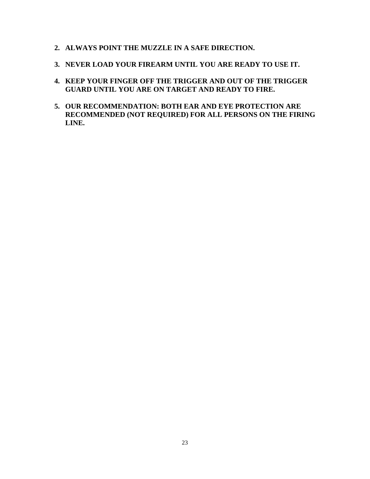- **2. ALWAYS POINT THE MUZZLE IN A SAFE DIRECTION.**
- **3. NEVER LOAD YOUR FIREARM UNTIL YOU ARE READY TO USE IT.**
- **4. KEEP YOUR FINGER OFF THE TRIGGER AND OUT OF THE TRIGGER GUARD UNTIL YOU ARE ON TARGET AND READY TO FIRE.**
- **5. OUR RECOMMENDATION: BOTH EAR AND EYE PROTECTION ARE RECOMMENDED (NOT REQUIRED) FOR ALL PERSONS ON THE FIRING LINE.**